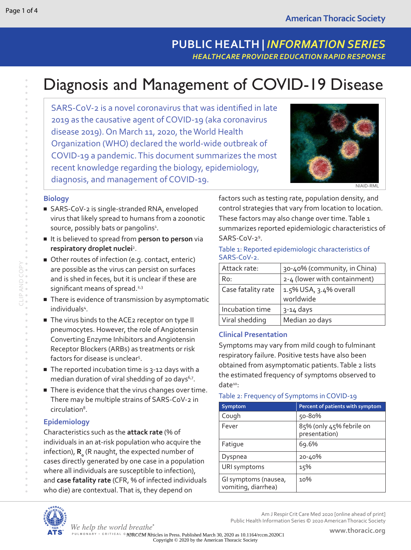# Diagnosis and Management of COVID-19 Disease

SARS-CoV-2 is a novel coronavirus that was identified in late 2019 as the causative agent of COVID-19 (aka coronavirus disease 2019). On March 11, 2020, the World Health Organization (WHO) declared the world-wide outbreak of COVID-19 a pandemic. This document summarizes the most recent knowledge regarding the biology, epidemiology, diagnosis, and management of COVID-19.



#### **Biology**

- SARS-CoV-2 is single-stranded RNA, enveloped virus that likely spread to humans from a zoonotic source, possibly bats or pangolins<sup>1</sup>.
- It is believed to spread from person to person via respiratory droplet nuclei<sup>2</sup>.
- Other routes of infection (e.g. contact, enteric) are possible as the virus can persist on surfaces and is shed in feces, but it is unclear if these are significant means of spread.<sup>2,3</sup>
- There is evidence of transmission by asymptomatic individuals<sup>4</sup>.
- The virus binds to the ACE2 receptor on type II pneumocytes. However, the role of Angiotensin Converting Enzyme Inhibitors and Angiotensin Receptor Blockers (ARBs) as treatments or risk factors for disease is unclear<sup>5</sup>.
- The reported incubation time is 3-12 days with a median duration of viral shedding of 20 days<sup>6,7</sup>.
- There is evidence that the virus changes over time. There may be multiple strains of SARS-CoV-2 in circulation<sup>8</sup>.

## **Epidemiology**

Characteristics such as the **attack rate** (% of individuals in an at-risk population who acquire the infection)**, R**<sub>o</sub> (R naught, the expected number of cases directly generated by one case in a population where all individuals are susceptible to infection), and **case fatality rate** (CFR, % of infected individuals who die) are contextual. That is, they depend on

We help the world breathe<sup>®</sup>

factors such as testing rate, population density, and control strategies that vary from location to location. These factors may also change over time. Table 1 summarizes reported epidemiologic characteristics of SARS-CoV-2<sup>9</sup>.

#### Table 1: Reported epidemiologic characteristics of SARS-CoV-2.

| Attack rate:       | 30-40% (community, in China)        |
|--------------------|-------------------------------------|
| Ro:                | 2-4 (lower with containment)        |
| Case fatality rate | 1.5% USA, 3.4% overall<br>worldwide |
| Incubation time    | $3 - 14$ days                       |
| Viral shedding     | Median 20 days                      |

## **Clinical Presentation**

Symptoms may vary from mild cough to fulminant respiratory failure. Positive tests have also been obtained from asymptomatic patients. Table 2 lists the estimated frequency of symptoms observed to date<sup>10</sup>:

## Table 2: Frequency of Symptoms in COVID-19

| Symptom                                     | Percent of patients with symptom          |
|---------------------------------------------|-------------------------------------------|
| Cough                                       | 50-80%                                    |
| Fever                                       | 85% (only 45% febrile on<br>presentation) |
| Fatique                                     | 69.6%                                     |
| Dyspnea                                     | 20-40%                                    |
| URI symptoms                                | 15%                                       |
| Gl symptoms (nausea,<br>vomiting, diarrhea) | 10%                                       |



Am J Respir Crit Care Med 2020 [online ahead of print] Public Health Information Series © 2020 American Thoracic Society

PULMONARY · CRITICAL CAJRCCM Articles in Press. Published March 30, 2020 as 10.1164/rccm.2020C1 Copyright © 2020 by the American Thoracic Society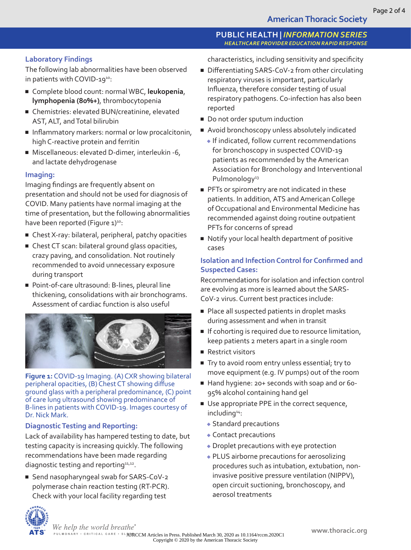## **PUBLIC HEALTH |** *INFORMATION SERIES HEALTHCARE PROVIDER EDUCATION RAPID RESPONSE*

## **Laboratory Findings**

The following lab abnormalities have been observed in patients with COVID-19<sup>10</sup>:

- Complete blood count: normal WBC, leukopenia, **lymphopenia (80%+)**, thrombocytopenia
- Chemistries: elevated BUN/creatinine, elevated AST, ALT, and Total bilirubin
- Inflammatory markers: normal or low procalcitonin, high C-reactive protein and ferritin
- Miscellaneous: elevated D-dimer, interleukin -6, and lactate dehydrogenase

## **Imaging:**

Imaging findings are frequently absent on presentation and should not be used for diagnosis of COVID. Many patients have normal imaging at the time of presentation, but the following abnormalities have been reported (Figure 1)<sup>10</sup>:

- Chest X-ray: bilateral, peripheral, patchy opacities
- Chest CT scan: bilateral ground glass opacities, crazy paving, and consolidation. Not routinely recommended to avoid unnecessary exposure during transport
- Point-of-care ultrasound: B-lines, pleural line thickening, consolidations with air bronchograms. Assessment of cardiac function is also useful



**Figure 1:** COVID-19 Imaging. (A) CXR showing bilateral peripheral opacities, (B) Chest CT showing diffuse ground glass with a peripheral predominance, (C) point of care lung ultrasound showing predominance of B-lines in patients with COVID-19. Images courtesy of Dr. Nick Mark.

# **Diagnostic Testing and Reporting:**

Lack of availability has hampered testing to date, but testing capacity is increasing quickly. The following recommendations have been made regarding diagnostic testing and reporting<sup>11,12</sup>.

■ Send nasopharyngeal swab for SARS-CoV-2 polymerase chain reaction testing (RT-PCR). Check with your local facility regarding test



characteristics, including sensitivity and specificity

- Differentiating SARS-CoV-2 from other circulating respiratory viruses is important, particularly Influenza, therefore consider testing of usual respiratory pathogens. Co-infection has also been reported
- Do not order sputum induction
- Avoid bronchoscopy unless absolutely indicated
	- ◆ If indicated, follow current recommendations for bronchoscopy in suspected COVID-19 patients as recommended by the American Association for Bronchology and Interventional Pulmonology<sup>13</sup>
- PFTs or spirometry are not indicated in these patients. In addition, ATS and American College of Occupational and Environmental Medicine has recommended against doing routine outpatient PFTs for concerns of spread
- Notify your local health department of positive cases

## **Isolation and Infection Control for Confirmed and Suspected Cases:**

Recommendations for isolation and infection control are evolving as more is learned about the SARS-CoV-2 virus. Current best practices include:

- Place all suspected patients in droplet masks during assessment and when in transit
- If cohorting is required due to resource limitation, keep patients 2 meters apart in a single room
- Restrict visitors
- Try to avoid room entry unless essential; try to move equipment (e.g. IV pumps) out of the room
- Hand hygiene: 20+ seconds with soap and or 60-95% alcohol containing hand gel
- Use appropriate PPE in the correct sequence, including14:
	- ◆ Standard precautions
	- ◆ Contact precautions
	- ◆ Droplet precautions with eye protection
	- ◆ PLUS airborne precautions for aerosolizing procedures such as intubation, extubation, noninvasive positive pressure ventilation (NIPPV), open circuit suctioning, bronchoscopy, and aerosol treatments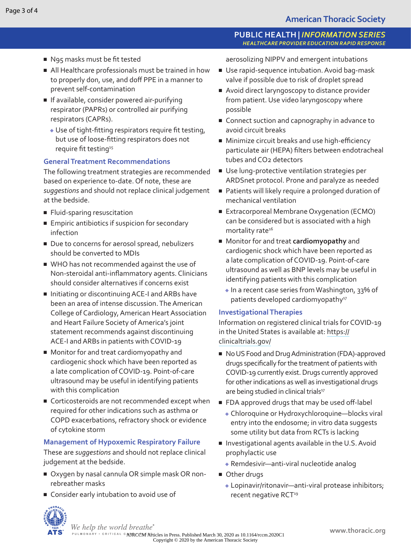## **PUBLIC HEALTH |** *INFORMATION SERIES HEALTHCARE PROVIDER EDUCATION RAPID RESPONSE*

- N95 masks must be fit tested
- All Healthcare professionals must be trained in how to properly don, use, and doff PPE in a manner to prevent self-contamination
- If available, consider powered air-purifying respirator (PAPRs) or controlled air purifying respirators (CAPRs).
	- ◆ Use of tight-fitting respirators require fit testing, but use of loose-fitting respirators does not require fit testing<sup>15</sup>

## **General Treatment Recommendations**

The following treatment strategies are recommended based on experience to-date. Of note, these are *suggestions* and should not replace clinical judgement at the bedside.

- Fluid-sparing resuscitation
- Empiric antibiotics if suspicion for secondary infection
- Due to concerns for aerosol spread, nebulizers should be converted to MDIs
- WHO has not recommended against the use of Non-steroidal anti-inflammatory agents. Clinicians should consider alternatives if concerns exist
- Initiating or discontinuing ACE-I and ARBs have been an area of intense discussion. The American College of Cardiology, American Heart Association and Heart Failure Society of America's joint statement recommends against discontinuing ACE-I and ARBs in patients with COVID-19
- Monitor for and treat cardiomyopathy and cardiogenic shock which have been reported as a late complication of COVID-19. Point-of-care ultrasound may be useful in identifying patients with this complication
- Corticosteroids are not recommended except when required for other indications such as asthma or COPD exacerbations, refractory shock or evidence of cytokine storm

## **Management of Hypoxemic Respiratory Failure**

These are *suggestions* and should not replace clinical judgement at the bedside.

- Oxygen by nasal cannula OR simple mask OR nonrebreather masks
- Consider early intubation to avoid use of



- Use rapid-sequence intubation. Avoid bag-mask valve if possible due to risk of droplet spread
- Avoid direct laryngoscopy to distance provider from patient. Use video laryngoscopy where possible
- Connect suction and capnography in advance to avoid circuit breaks
- Minimize circuit breaks and use high-efficiency particulate air (HEPA) filters between endotracheal tubes and CO2 detectors
- Use lung-protective ventilation strategies per ARDSnet protocol. Prone and paralyze as needed
- Patients will likely require a prolonged duration of mechanical ventilation
- Extracorporeal Membrane Oxygenation (ECMO) can be considered but is associated with a high mortality rate<sup>16</sup>
- Monitor for and treat **cardiomyopathy** and cardiogenic shock which have been reported as a late complication of COVID-19. Point-of-care ultrasound as well as BNP levels may be useful in identifying patients with this complication
	- ◆ In a recent case series from Washington, 33% of patients developed cardiomyopathy<sup>17</sup>

## **Investigational Therapies**

Information on registered clinical trials for COVID-19 in the United States is available at: [https://](https://clinicaltrials.gov/) [clinicaltrials.gov/](https://clinicaltrials.gov/)

- No US Food and Drug Administration (FDA)-approved drugs specifically for the treatment of patients with COVID-19 currently exist. Drugs currently approved for other indications as well as investigational drugs are being studied in clinical trials<sup>17</sup>
- FDA approved drugs that may be used off-label
	- ◆ Chloroquine or Hydroxychloroquine—blocks viral entry into the endosome; in vitro data suggests some utility but data from RCTs is lacking
- Investigational agents available in the U.S. Avoid prophylactic use
	- ◆ Remdesivir—anti-viral nucleotide analog
- Other drugs
	- ◆ Lopinavir/ritonavir—anti-viral protease inhibitors; recent negative RCT<sup>19</sup>